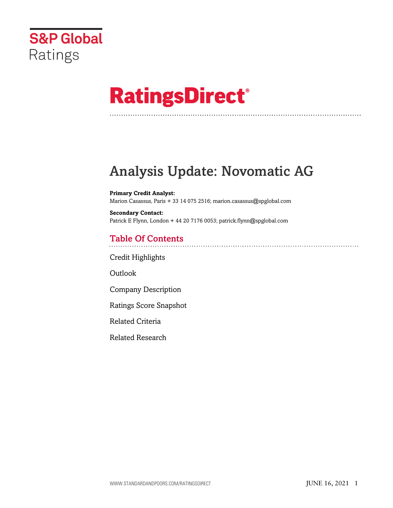

# **RatingsDirect®**

# Analysis Update: Novomatic AG

**Primary Credit Analyst:** Marion Casassus, Paris + 33 14 075 2516; marion.casassus@spglobal.com

**Secondary Contact:** Patrick E Flynn, London + 44 20 7176 0053; patrick.flynn@spglobal.com

# Table Of Contents

[Credit Highlights](#page-1-0)

Outlook

[Company Description](#page-4-0)

[Ratings Score Snapshot](#page-4-1)

[Related Criteria](#page-4-2)

[Related Research](#page-5-0)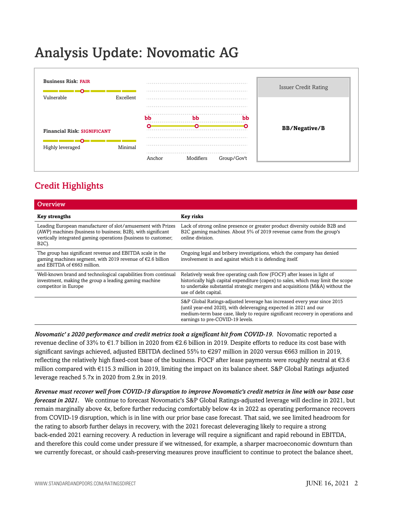# Analysis Update: Novomatic AG



# <span id="page-1-0"></span>Credit Highlights

| Overview                                                                                                                                                                                               |                                                                                                                                                                                                                                                                        |
|--------------------------------------------------------------------------------------------------------------------------------------------------------------------------------------------------------|------------------------------------------------------------------------------------------------------------------------------------------------------------------------------------------------------------------------------------------------------------------------|
| <b>Key strengths</b>                                                                                                                                                                                   | <b>Key risks</b>                                                                                                                                                                                                                                                       |
| Leading European manufacturer of slot/amusement with Prizes<br>(AWP) machines (business to business; B2B), with significant<br>vertically integrated gaming operations (business to customer;<br>B2C). | Lack of strong online presence or greater product diversity outside B2B and<br>B2C gaming machines. About 5% of 2019 revenue came from the group's<br>online division.                                                                                                 |
| The group has significant revenue and EBITDA scale in the<br>gaming machines segment, with 2019 revenue of $\epsilon$ 2.6 billion<br>and EBITDA of €663 million.                                       | Ongoing legal and bribery investigations, which the company has denied<br>involvement in and against which it is defending itself.                                                                                                                                     |
| Well-known brand and technological capabilities from continual<br>investment, making the group a leading gaming machine<br>competitor in Europe                                                        | Relatively weak free operating cash flow (FOCF) after leases in light of<br>historically high capital expenditure (capex) to sales, which may limit the scope<br>to undertake substantial strategic mergers and acquisitions (M&A) without the<br>use of debt capital. |
|                                                                                                                                                                                                        | S&P Global Ratings-adjusted leverage has increased every year since 2015<br>(until year-end 2020), with deleveraging expected in 2021 and our<br>medium-term base case, likely to require significant recovery in operations and<br>earnings to pre-COVID-19 levels.   |

*Novomatic' s 2020 performance and credit metrics took a significant hit from COVID-19.* Novomatic reported a revenue decline of 33% to €1.7 billion in 2020 from €2.6 billion in 2019. Despite efforts to reduce its cost base with significant savings achieved, adjusted EBITDA declined 55% to €297 million in 2020 versus €663 million in 2019, reflecting the relatively high fixed-cost base of the business. FOCF after lease payments were roughly neutral at €3.6 million compared with €115.3 million in 2019, limiting the impact on its balance sheet. S&P Global Ratings adjusted leverage reached 5.7x in 2020 from 2.9x in 2019.

*Revenue must recover well from COVID-19 disruption to improve Novomatic's credit metrics in line with our base case forecast in 2021.* We continue to forecast Novomatic's S&P Global Ratings-adjusted leverage will decline in 2021, but remain marginally above 4x, before further reducing comfortably below 4x in 2022 as operating performance recovers from COVID-19 disruption, which is in line with our prior base case forecast. That said, we see limited headroom for the rating to absorb further delays in recovery, with the 2021 forecast deleveraging likely to require a strong back-ended 2021 earning recovery. A reduction in leverage will require a significant and rapid rebound in EBITDA, and therefore this could come under pressure if we witnessed, for example, a sharper macroeconomic downturn than we currently forecast, or should cash-preserving measures prove insufficient to continue to protect the balance sheet,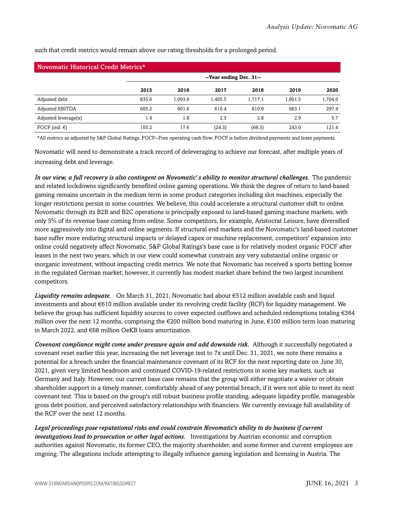| Novomatic Historical Credit Metrics* |                         |         |         |         |         |         |  |  |
|--------------------------------------|-------------------------|---------|---------|---------|---------|---------|--|--|
|                                      | --Year ending Dec. 31-- |         |         |         |         |         |  |  |
|                                      | 2015                    | 2016    | 2017    | 2018    | 2019    | 2020    |  |  |
| Adjusted debt                        | 835.6                   | 1.093.6 | 1.405.5 | 1.717.1 | 1.901.5 | 1,704.0 |  |  |
| Adjusted EBITDA                      | 605.2                   | 601.6   | 610.4   | 610.9   | 663.1   | 297.4   |  |  |
| Adjusted leverage(x)                 | 1.4                     | 1.8     | 2.3     | 2.8     | 2.9     | 5.7     |  |  |
| FOCF (mil. $\in$ )                   | 103.2                   | 17.6    | (24.3)  | (68.3)  | 243.0   | 121.4   |  |  |

such that credit metrics would remain above our rating thresholds for a prolonged period.

\*All metrics as adjusted by S&P Global Ratings. FOCF--Free operating cash flow; FOCF is before dividend payments and lease payments.

Novomatic will need to demonstrate a track record of deleveraging to achieve our forecast, after multiple years of increasing debt and leverage.

*In our view, a full recovery is also contingent on Novomatic' s ability to monitor structural challenges.* The pandemic and related lockdowns significantly benefited online gaming operations. We think the degree of return to land-based gaming remains uncertain in the medium term in some product categories including slot machines, especially the longer restrictions persist in some countries. We believe, this could accelerate a structural customer shift to online. Novomatic through its B2B and B2C operations is principally exposed to land-based gaming machine markets, with only 5% of its revenue base coming from online. Some competitors, for example, Aristocrat Leisure, have diversified more aggressively into digital and online segments. If structural end markets and the Novomatic's land-based customer base suffer more enduring structural impacts or delayed capex or machine replacement, competitors' expansion into online could negatively affect Novomatic. S&P Global Ratings's base case is for relatively modest organic FOCF after leases in the next two years, which in our view could somewhat constrain any very substantial online organic or inorganic investment, without impacting credit metrics. We note that Novomatic has received a sports betting license in the regulated German market; however, it currently has modest market share behind the two largest incumbent competitors.

*Liquidity remains adequate.* On March 31, 2021, Novomatic had about €512 million available cash and liquid investments and about €610 million available under its revolving credit facility (RCF) for liquidity management. We believe the group has sufficient liquidity sources to cover expected outflows and scheduled redemptions totaling €364 million over the next 12 months, comprising the  $\epsilon$ 200 million bond maturing in June,  $\epsilon$ 100 million term loan maturing in March 2022, and €68 million OeKB loans amortization.

*Covenant compliance might come under pressure again and add downside risk.* Although it successfully negotiated a covenant reset earlier this year, increasing the net leverage test to 7x until Dec. 31, 2021, we note there remains a potential for a breach under the financial maintenance covenant of its RCF for the next reporting date on June 30, 2021, given very limited headroom and continued COVID-19-related restrictions in some key markets, such as Germany and Italy. However, our current base case remains that the group will either negotiate a waiver or obtain shareholder support in a timely manner, comfortably ahead of any potential breach, if it were not able to meet its next covenant test. This is based on the group's still robust business profile standing, adequate liquidity profile, manageable gross debt position, and perceived satisfactory relationships with financiers. We currently envisage full availability of the RCF over the next 12 months.

*Legal proceedings pose reputational risks and could constrain Novomatic's ability to do business if current investigations lead to prosecution or other legal actions.* Investigations by Austrian economic and corruption authorities against Novomatic, its former CEO, the majority shareholder, and some former and current employees are ongoing. The allegations include attempting to illegally influence gaming legislation and licensing in Austria. The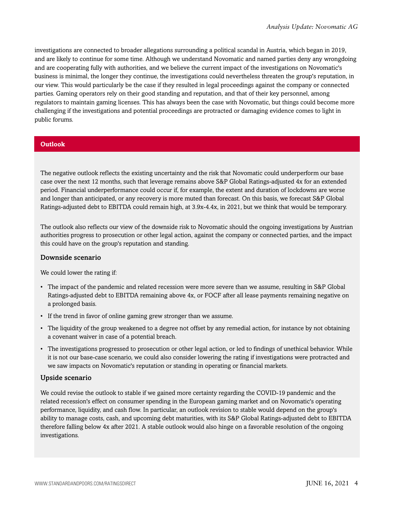investigations are connected to broader allegations surrounding a political scandal in Austria, which began in 2019, and are likely to continue for some time. Although we understand Novomatic and named parties deny any wrongdoing and are cooperating fully with authorities, and we believe the current impact of the investigations on Novomatic's business is minimal, the longer they continue, the investigations could nevertheless threaten the group's reputation, in our view. This would particularly be the case if they resulted in legal proceedings against the company or connected parties. Gaming operators rely on their good standing and reputation, and that of their key personnel, among regulators to maintain gaming licenses. This has always been the case with Novomatic, but things could become more challenging if the investigations and potential proceedings are protracted or damaging evidence comes to light in public forums.

### **Outlook**

The negative outlook reflects the existing uncertainty and the risk that Novomatic could underperform our base case over the next 12 months, such that leverage remains above S&P Global Ratings-adjusted 4x for an extended period. Financial underperformance could occur if, for example, the extent and duration of lockdowns are worse and longer than anticipated, or any recovery is more muted than forecast. On this basis, we forecast S&P Global Ratings-adjusted debt to EBITDA could remain high, at 3.9x-4.4x, in 2021, but we think that would be temporary.

The outlook also reflects our view of the downside risk to Novomatic should the ongoing investigations by Austrian authorities progress to prosecution or other legal action, against the company or connected parties, and the impact this could have on the group's reputation and standing.

#### Downside scenario

We could lower the rating if:

- The impact of the pandemic and related recession were more severe than we assume, resulting in S&P Global Ratings-adjusted debt to EBITDA remaining above 4x, or FOCF after all lease payments remaining negative on a prolonged basis.
- If the trend in favor of online gaming grew stronger than we assume.
- The liquidity of the group weakened to a degree not offset by any remedial action, for instance by not obtaining a covenant waiver in case of a potential breach.
- The investigations progressed to prosecution or other legal action, or led to findings of unethical behavior. While it is not our base-case scenario, we could also consider lowering the rating if investigations were protracted and we saw impacts on Novomatic's reputation or standing in operating or financial markets.

## Upside scenario

We could revise the outlook to stable if we gained more certainty regarding the COVID-19 pandemic and the related recession's effect on consumer spending in the European gaming market and on Novomatic's operating performance, liquidity, and cash flow. In particular, an outlook revision to stable would depend on the group's ability to manage costs, cash, and upcoming debt maturities, with its S&P Global Ratings-adjusted debt to EBITDA therefore falling below 4x after 2021. A stable outlook would also hinge on a favorable resolution of the ongoing investigations.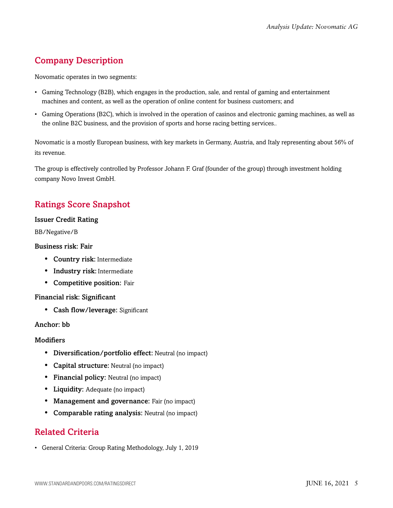# <span id="page-4-0"></span>Company Description

Novomatic operates in two segments:

- Gaming Technology (B2B), which engages in the production, sale, and rental of gaming and entertainment machines and content, as well as the operation of online content for business customers; and
- Gaming Operations (B2C), which is involved in the operation of casinos and electronic gaming machines, as well as the online B2C business, and the provision of sports and horse racing betting services..

Novomatic is a mostly European business, with key markets in Germany, Austria, and Italy representing about 56% of its revenue.

The group is effectively controlled by Professor Johann F. Graf (founder of the group) through investment holding company Novo Invest GmbH.

# <span id="page-4-1"></span>Ratings Score Snapshot

#### Issuer Credit Rating

BB/Negative/B

#### Business risk: Fair

- Country risk: Intermediate
- Industry risk: Intermediate
- Competitive position: Fair

Financial risk: Significant

• Cash flow/leverage: Significant

#### Anchor: bb

#### **Modifiers**

- Diversification/portfolio effect: Neutral (no impact)
- Capital structure: Neutral (no impact)
- Financial policy: Neutral (no impact)
- Liquidity: Adequate (no impact)
- Management and governance: Fair (no impact)
- <span id="page-4-2"></span>• Comparable rating analysis: Neutral (no impact)

# Related Criteria

• General Criteria: Group Rating Methodology, July 1, 2019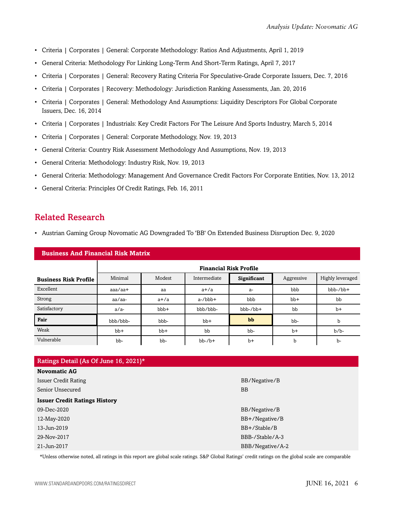- Criteria | Corporates | General: Corporate Methodology: Ratios And Adjustments, April 1, 2019
- General Criteria: Methodology For Linking Long-Term And Short-Term Ratings, April 7, 2017
- Criteria | Corporates | General: Recovery Rating Criteria For Speculative-Grade Corporate Issuers, Dec. 7, 2016
- Criteria | Corporates | Recovery: Methodology: Jurisdiction Ranking Assessments, Jan. 20, 2016
- Criteria | Corporates | General: Methodology And Assumptions: Liquidity Descriptors For Global Corporate Issuers, Dec. 16, 2014
- Criteria | Corporates | Industrials: Key Credit Factors For The Leisure And Sports Industry, March 5, 2014
- Criteria | Corporates | General: Corporate Methodology, Nov. 19, 2013
- General Criteria: Country Risk Assessment Methodology And Assumptions, Nov. 19, 2013
- General Criteria: Methodology: Industry Risk, Nov. 19, 2013
- General Criteria: Methodology: Management And Governance Credit Factors For Corporate Entities, Nov. 13, 2012
- General Criteria: Principles Of Credit Ratings, Feb. 16, 2011

## <span id="page-5-0"></span>Related Research

• Austrian Gaming Group Novomatic AG Downgraded To 'BB' On Extended Business Disruption Dec. 9, 2020

| <b>Business And Financial Risk Matrix</b> |                               |        |              |             |            |                  |  |
|-------------------------------------------|-------------------------------|--------|--------------|-------------|------------|------------------|--|
|                                           | <b>Financial Risk Profile</b> |        |              |             |            |                  |  |
| <b>Business Risk Profile</b>              | Minimal                       | Modest | Intermediate | Significant | Aggressive | Highly leveraged |  |
| Excellent                                 | $a$ aa $/a$ a $+$             | aa     | $a+/a$       | $a-$        | bbb        | $bbb-/bb+$       |  |
| Strong                                    | aa/aa-                        | $a+/a$ | $a$ -/ $bbb$ | bbb         | $bb+$      | bb               |  |
| Satisfactory                              | $a/a-$                        | $bbb+$ | bbb/bbb-     | $bbb-/bb+$  | bb         | $b+$             |  |
| Fair                                      | bbb/bbb-                      | bbb-   | $bb+$        | bb          | bb-        | b                |  |
| Weak                                      | $bb+$                         | $bb+$  | bb           | bb-         | $b+$       | $b/b$ -          |  |
| Vulnerable                                | bb-                           | bb-    | $bb-7b+$     | $b+$        | b          | b-               |  |

| Ratings Detail (As Of June 16, 2021)* |                   |  |  |  |
|---------------------------------------|-------------------|--|--|--|
| <b>Novomatic AG</b>                   |                   |  |  |  |
| <b>Issuer Credit Rating</b>           | BB/Negative/B     |  |  |  |
| Senior Unsecured                      | <b>BB</b>         |  |  |  |
| <b>Issuer Credit Ratings History</b>  |                   |  |  |  |
| 09-Dec-2020                           | BB/Negative/B     |  |  |  |
| 12-May-2020                           | $BB+$ /Negative/B |  |  |  |
| 13-Jun-2019                           | BB+/Stable/B      |  |  |  |
| 29-Nov-2017                           | BBB-/Stable/A-3   |  |  |  |
| 21-Jun-2017                           | BBB/Negative/A-2  |  |  |  |

\*Unless otherwise noted, all ratings in this report are global scale ratings. S&P Global Ratings' credit ratings on the global scale are comparable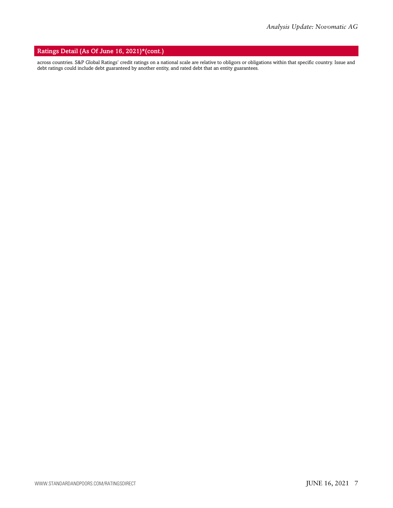#### Ratings Detail (As Of June 16, 2021)\*(cont.)

across countries. S&P Global Ratings' credit ratings on a national scale are relative to obligors or obligations within that specific country. Issue and debt ratings could include debt guaranteed by another entity, and rated debt that an entity guarantees.